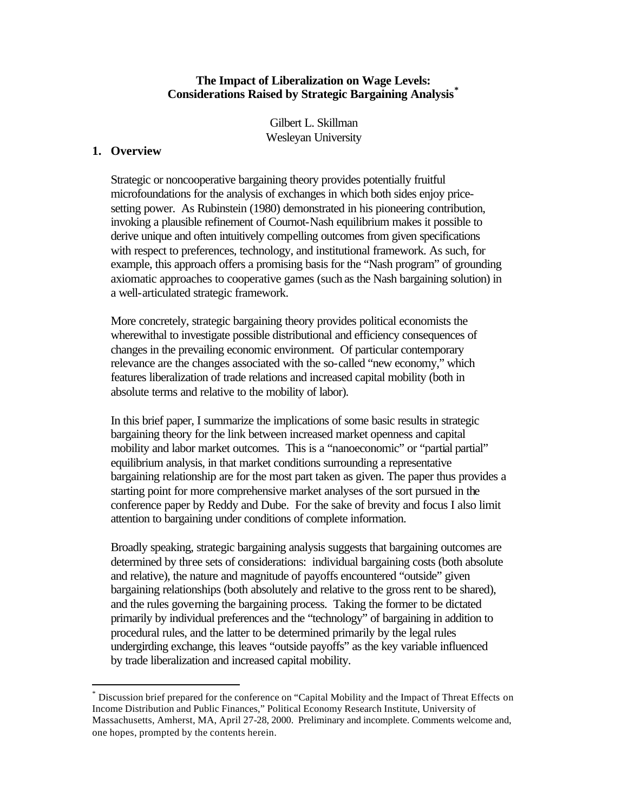#### **The Impact of Liberalization on Wage Levels: Considerations Raised by Strategic Bargaining Analysis\***

Gilbert L. Skillman Wesleyan University

## **1. Overview**

 $\overline{a}$ 

Strategic or noncooperative bargaining theory provides potentially fruitful microfoundations for the analysis of exchanges in which both sides enjoy pricesetting power. As Rubinstein (1980) demonstrated in his pioneering contribution, invoking a plausible refinement of Cournot-Nash equilibrium makes it possible to derive unique and often intuitively compelling outcomes from given specifications with respect to preferences, technology, and institutional framework. As such, for example, this approach offers a promising basis for the "Nash program" of grounding axiomatic approaches to cooperative games (such as the Nash bargaining solution) in a well-articulated strategic framework.

More concretely, strategic bargaining theory provides political economists the wherewithal to investigate possible distributional and efficiency consequences of changes in the prevailing economic environment. Of particular contemporary relevance are the changes associated with the so-called "new economy," which features liberalization of trade relations and increased capital mobility (both in absolute terms and relative to the mobility of labor).

In this brief paper, I summarize the implications of some basic results in strategic bargaining theory for the link between increased market openness and capital mobility and labor market outcomes. This is a "nanoeconomic" or "partial partial" equilibrium analysis, in that market conditions surrounding a representative bargaining relationship are for the most part taken as given. The paper thus provides a starting point for more comprehensive market analyses of the sort pursued in the conference paper by Reddy and Dube. For the sake of brevity and focus I also limit attention to bargaining under conditions of complete information.

Broadly speaking, strategic bargaining analysis suggests that bargaining outcomes are determined by three sets of considerations: individual bargaining costs (both absolute and relative), the nature and magnitude of payoffs encountered "outside" given bargaining relationships (both absolutely and relative to the gross rent to be shared), and the rules governing the bargaining process. Taking the former to be dictated primarily by individual preferences and the "technology" of bargaining in addition to procedural rules, and the latter to be determined primarily by the legal rules undergirding exchange, this leaves "outside payoffs" as the key variable influenced by trade liberalization and increased capital mobility.

<sup>\*</sup> Discussion brief prepared for the conference on "Capital Mobility and the Impact of Threat Effects on Income Distribution and Public Finances," Political Economy Research Institute, University of Massachusetts, Amherst, MA, April 27-28, 2000. Preliminary and incomplete. Comments welcome and, one hopes, prompted by the contents herein.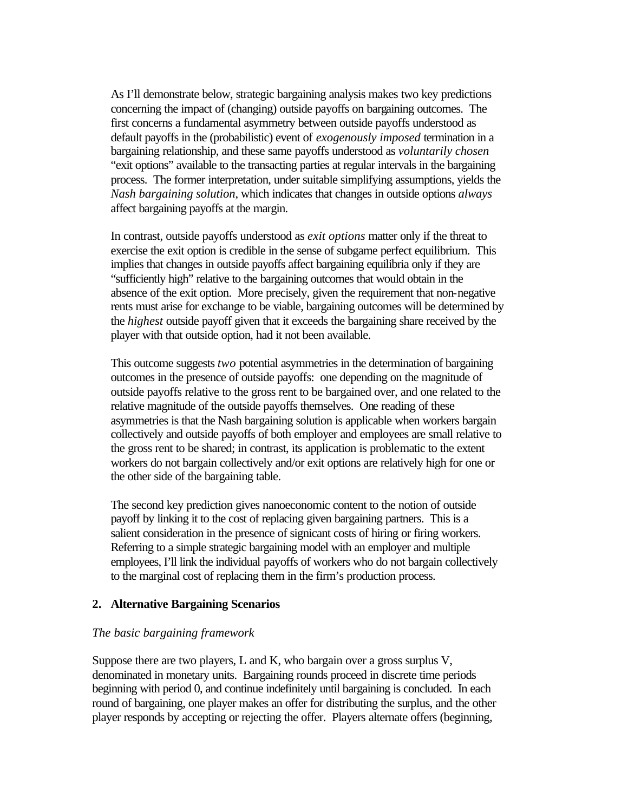As I'll demonstrate below, strategic bargaining analysis makes two key predictions concerning the impact of (changing) outside payoffs on bargaining outcomes. The first concerns a fundamental asymmetry between outside payoffs understood as default payoffs in the (probabilistic) event of *exogenously imposed* termination in a bargaining relationship, and these same payoffs understood as *voluntarily chosen* "exit options" available to the transacting parties at regular intervals in the bargaining process. The former interpretation, under suitable simplifying assumptions, yields the *Nash bargaining solution*, which indicates that changes in outside options *always*  affect bargaining payoffs at the margin.

In contrast, outside payoffs understood as *exit options* matter only if the threat to exercise the exit option is credible in the sense of subgame perfect equilibrium. This implies that changes in outside payoffs affect bargaining equilibria only if they are "sufficiently high" relative to the bargaining outcomes that would obtain in the absence of the exit option. More precisely, given the requirement that non-negative rents must arise for exchange to be viable, bargaining outcomes will be determined by the *highest* outside payoff given that it exceeds the bargaining share received by the player with that outside option, had it not been available.

This outcome suggests *two* potential asymmetries in the determination of bargaining outcomes in the presence of outside payoffs: one depending on the magnitude of outside payoffs relative to the gross rent to be bargained over, and one related to the relative magnitude of the outside payoffs themselves. One reading of these asymmetries is that the Nash bargaining solution is applicable when workers bargain collectively and outside payoffs of both employer and employees are small relative to the gross rent to be shared; in contrast, its application is problematic to the extent workers do not bargain collectively and/or exit options are relatively high for one or the other side of the bargaining table.

The second key prediction gives nanoeconomic content to the notion of outside payoff by linking it to the cost of replacing given bargaining partners. This is a salient consideration in the presence of signicant costs of hiring or firing workers. Referring to a simple strategic bargaining model with an employer and multiple employees, I'll link the individual payoffs of workers who do not bargain collectively to the marginal cost of replacing them in the firm's production process.

## **2. Alternative Bargaining Scenarios**

## *The basic bargaining framework*

Suppose there are two players, L and K, who bargain over a gross surplus V, denominated in monetary units. Bargaining rounds proceed in discrete time periods beginning with period 0, and continue indefinitely until bargaining is concluded. In each round of bargaining, one player makes an offer for distributing the surplus, and the other player responds by accepting or rejecting the offer. Players alternate offers (beginning,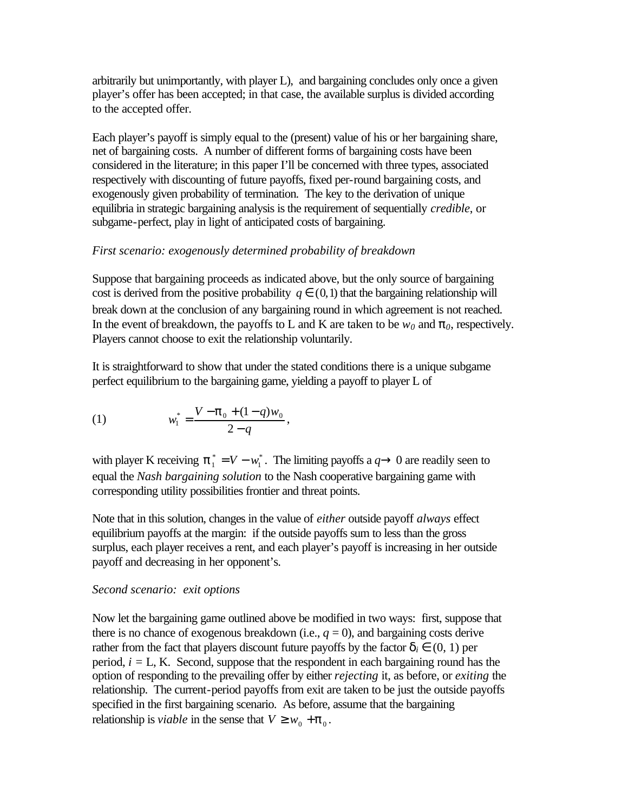arbitrarily but unimportantly, with player L), and bargaining concludes only once a given player's offer has been accepted; in that case, the available surplus is divided according to the accepted offer.

Each player's payoff is simply equal to the (present) value of his or her bargaining share, net of bargaining costs. A number of different forms of bargaining costs have been considered in the literature; in this paper I'll be concerned with three types, associated respectively with discounting of future payoffs, fixed per-round bargaining costs, and exogenously given probability of termination. The key to the derivation of unique equilibria in strategic bargaining analysis is the requirement of sequentially *credible*, or subgame-perfect, play in light of anticipated costs of bargaining.

# *First scenario: exogenously determined probability of breakdown*

Suppose that bargaining proceeds as indicated above, but the only source of bargaining cost is derived from the positive probability  $q \in (0,1)$  that the bargaining relationship will break down at the conclusion of any bargaining round in which agreement is not reached. In the event of breakdown, the payoffs to L and K are taken to be  $w_0$  and  $\mathbf{p}_0$ , respectively. Players cannot choose to exit the relationship voluntarily.

It is straightforward to show that under the stated conditions there is a unique subgame perfect equilibrium to the bargaining game, yielding a payoff to player L of

,

(1) 
$$
w_1^* = \frac{V - \mathbf{p}_0 + (1 - q)w_0}{2 - q}
$$

with player K receiving  $\boldsymbol{p}_1^* = V - w_1^*$  $\boldsymbol{p}_1^* = V - w_1^*$ . The limiting payoffs a  $q \otimes 0$  are readily seen to equal the *Nash bargaining solution* to the Nash cooperative bargaining game with corresponding utility possibilities frontier and threat points.

Note that in this solution, changes in the value of *either* outside payoff *always* effect equilibrium payoffs at the margin: if the outside payoffs sum to less than the gross surplus, each player receives a rent, and each player's payoff is increasing in her outside payoff and decreasing in her opponent's.

## *Second scenario: exit options*

Now let the bargaining game outlined above be modified in two ways: first, suppose that there is no chance of exogenous breakdown (i.e.,  $q = 0$ ), and bargaining costs derive rather from the fact that players discount future payoffs by the factor  $\mathbf{d}_i \in (0, 1)$  per period,  $i = L$ , K. Second, suppose that the respondent in each bargaining round has the option of responding to the prevailing offer by either *rejecting* it, as before, or *exiting* the relationship. The current-period payoffs from exit are taken to be just the outside payoffs specified in the first bargaining scenario. As before, assume that the bargaining relationship is *viable* in the sense that  $V \geq w_0 + \mathbf{p}_0$ .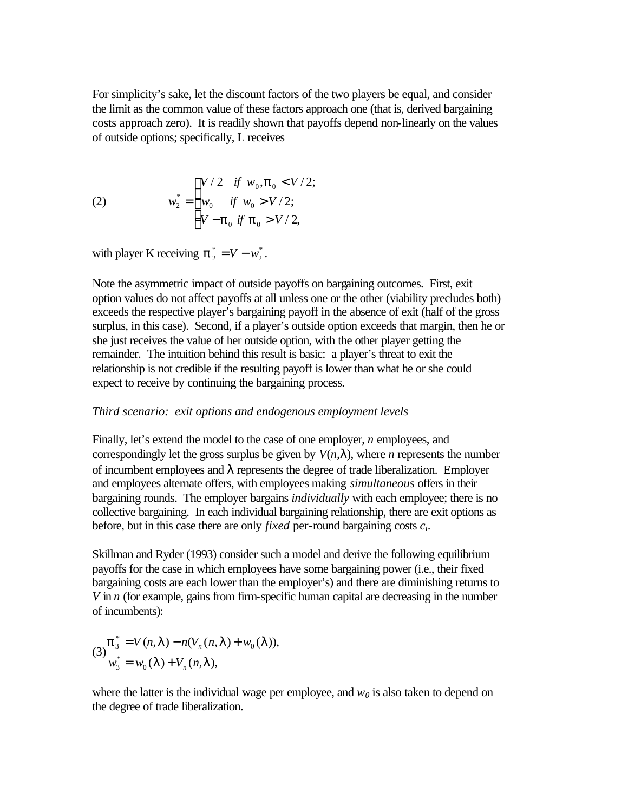For simplicity's sake, let the discount factors of the two players be equal, and consider the limit as the common value of these factors approach one (that is, derived bargaining costs approach zero). It is readily shown that payoffs depend non-linearly on the values of outside options; specifically, L receives

(2) 
$$
w_2^* = \begin{cases} V/2 & \text{if } w_0, \mathbf{p}_0 < V/2; \\ w_0 & \text{if } w_0 > V/2; \\ V - \mathbf{p}_0 & \text{if } \mathbf{p}_0 > V/2, \end{cases}
$$

with player K receiving  $\boldsymbol{p}_2^* = V - w_2^*$  $\boldsymbol{p}_2^* = V - w_2^*$ .

Note the asymmetric impact of outside payoffs on bargaining outcomes. First, exit option values do not affect payoffs at all unless one or the other (viability precludes both) exceeds the respective player's bargaining payoff in the absence of exit (half of the gross surplus, in this case). Second, if a player's outside option exceeds that margin, then he or she just receives the value of her outside option, with the other player getting the remainder. The intuition behind this result is basic: a player's threat to exit the relationship is not credible if the resulting payoff is lower than what he or she could expect to receive by continuing the bargaining process.

#### *Third scenario: exit options and endogenous employment levels*

Finally, let's extend the model to the case of one employer, *n* employees, and correspondingly let the gross surplus be given by  $V(n, I)$ , where *n* represents the number of incumbent employees and *l* represents the degree of trade liberalization. Employer and employees alternate offers, with employees making *simultaneous* offers in their bargaining rounds. The employer bargains *individually* with each employee; there is no collective bargaining. In each individual bargaining relationship, there are exit options as before, but in this case there are only *fixed* per-round bargaining costs *ci*.

Skillman and Ryder (1993) consider such a model and derive the following equilibrium payoffs for the case in which employees have some bargaining power (i.e., their fixed bargaining costs are each lower than the employer's) and there are diminishing returns to *V* in *n* (for example, gains from firm-specific human capital are decreasing in the number of incumbents):

$$
(3)\frac{\boldsymbol{p}_3^* = V(n, \boldsymbol{I}) - n(V_n(n, \boldsymbol{I}) + w_0(\boldsymbol{I})),}{w_3^* = w_0(\boldsymbol{I}) + V_n(n, \boldsymbol{I}),}
$$

where the latter is the individual wage per employee, and  $w<sub>0</sub>$  is also taken to depend on the degree of trade liberalization.